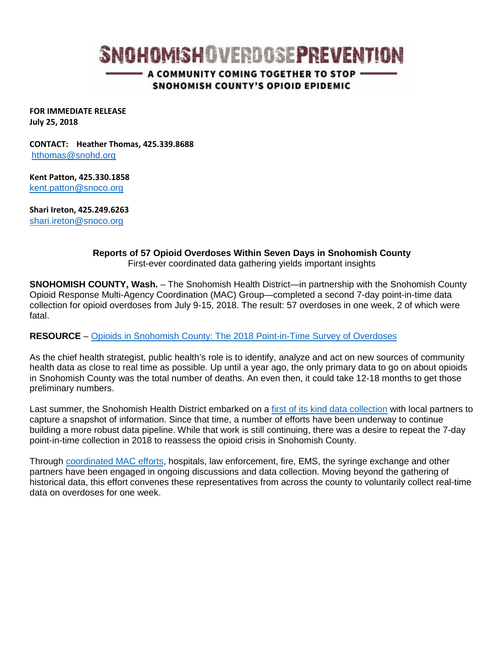# **SNOHOMISHOVERDOSEPREVENTION**

- A COMMUNITY COMING TOGETHER TO STOP -SNOHOMISH COUNTY'S OPIOID EPIDEMIC

**FOR IMMEDIATE RELEASE July 25, 2018**

**CONTACT: Heather Thomas, 425.339.8688** [hthomas@snohd.org](mailto:hthomas@snohd.org)

**Kent Patton, 425.330.1858** [kent.patton@snoco.org](mailto:kent.patton@snoco.org)

**Shari Ireton, 425.249.6263** [shari.ireton@snoco.org](mailto:shari.ireton@snoco.org)

> **Reports of 57 Opioid Overdoses Within Seven Days in Snohomish County**  First-ever coordinated data gathering yields important insights

**SNOHOMISH COUNTY, Wash.** – The Snohomish Health District—in partnership with the Snohomish County Opioid Response Multi-Agency Coordination (MAC) Group—completed a second 7-day point-in-time data collection for opioid overdoses from July 9-15, 2018. The result: 57 overdoses in one week, 2 of which were fatal.

#### **RESOURCE** – [Opioids in Snohomish County: The 2018 Point-in-Time Survey of Overdoses](http://snohomishoverdoseprevention.com/wp-content/uploads/2018/07/Press_Conference_Point-In-Time_2018_8.5x11.pdf)

As the chief health strategist, public health's role is to identify, analyze and act on new sources of community health data as close to real time as possible. Up until a year ago, the only primary data to go on about opioids in Snohomish County was the total number of deaths. An even then, it could take 12-18 months to get those preliminary numbers.

Last summer, the Snohomish Health District embarked on a [first of its kind data collection](http://snohomishoverdoseprevention.com/wp-content/uploads/2017/11/Press_Conference_7-Day-Data.pdf) with local partners to capture a snapshot of information. Since that time, a number of efforts have been underway to continue building a more robust data pipeline. While that work is still continuing, there was a desire to repeat the 7-day point-in-time collection in 2018 to reassess the opioid crisis in Snohomish County.

Through [coordinated MAC efforts,](http://snohomishoverdoseprevention.com/welcome/opioid-mac-group/) hospitals, law enforcement, fire, EMS, the syringe exchange and other partners have been engaged in ongoing discussions and data collection. Moving beyond the gathering of historical data, this effort convenes these representatives from across the county to voluntarily collect real-time data on overdoses for one week.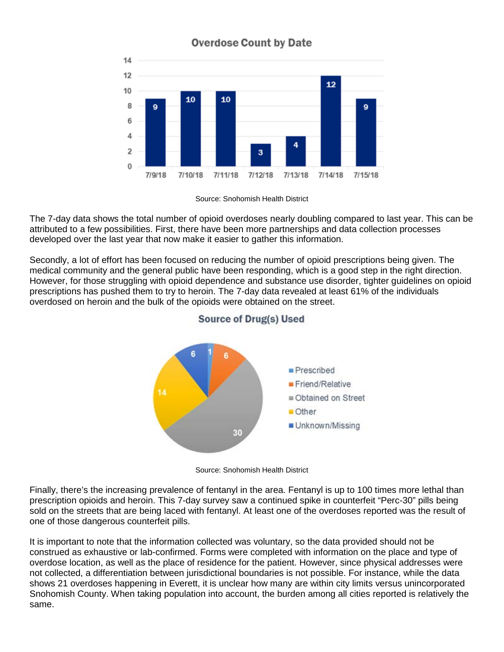

# **Overdose Count by Date**

The 7-day data shows the total number of opioid overdoses nearly doubling compared to last year. This can be attributed to a few possibilities. First, there have been more partnerships and data collection processes developed over the last year that now make it easier to gather this information.

Secondly, a lot of effort has been focused on reducing the number of opioid prescriptions being given. The medical community and the general public have been responding, which is a good step in the right direction. However, for those struggling with opioid dependence and substance use disorder, tighter guidelines on opioid prescriptions has pushed them to try to heroin. The 7-day data revealed at least 61% of the individuals overdosed on heroin and the bulk of the opioids were obtained on the street.



## **Source of Drug(s) Used**

Source: Snohomish Health District

Finally, there's the increasing prevalence of fentanyl in the area. Fentanyl is up to 100 times more lethal than prescription opioids and heroin. This 7-day survey saw a continued spike in counterfeit "Perc-30" pills being sold on the streets that are being laced with fentanyl. At least one of the overdoses reported was the result of one of those dangerous counterfeit pills.

It is important to note that the information collected was voluntary, so the data provided should not be construed as exhaustive or lab-confirmed. Forms were completed with information on the place and type of overdose location, as well as the place of residence for the patient. However, since physical addresses were not collected, a differentiation between jurisdictional boundaries is not possible. For instance, while the data shows 21 overdoses happening in Everett, it is unclear how many are within city limits versus unincorporated Snohomish County. When taking population into account, the burden among all cities reported is relatively the same.

Source: Snohomish Health District